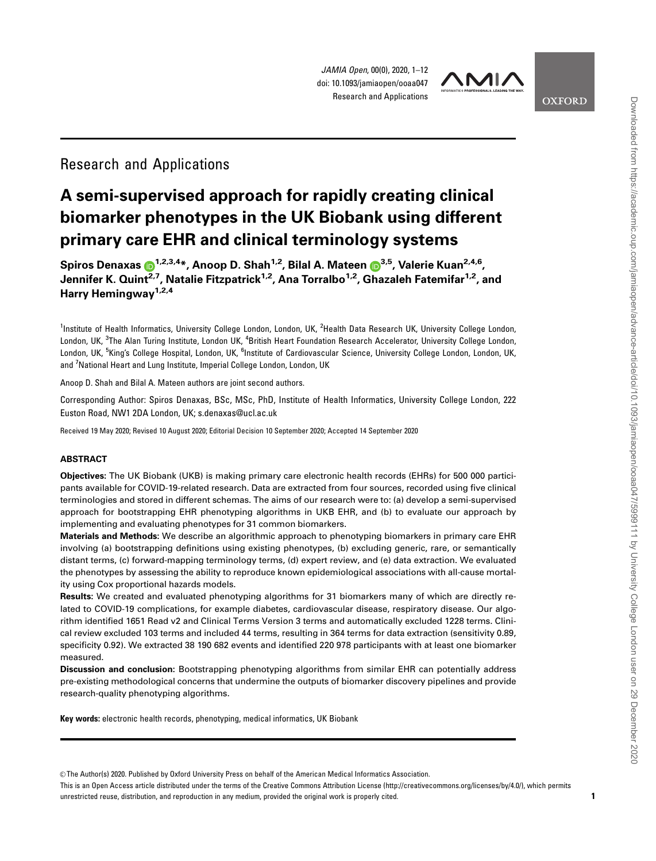JAMIA Open, 00(0), 2020, 1–12 doi: 10.1093/jamiaopen/ooaa047 Research and Applications



**OXFORD** 

## Research and Applications

# A semi-supervised approach for rapidly creating clinical biomarker phenotypes in the UK Biobank using different primary care EHR and clinical terminology systems

Spiros Denaxas  $\mathbf{D}^{1,2,3,4*}$  $\mathbf{D}^{1,2,3,4*}$  $\mathbf{D}^{1,2,3,4*}$  $\mathbf{D}^{1,2,3,4*}$  $\mathbf{D}^{1,2,3,4*}$ , Anoop D. Shah<sup>1,2</sup>, Bilal A. Mateen  $\mathbf{D}^{3,5}$ , Valerie Kuan<sup>2,4,6</sup>, Jennifer K. Quint<sup>2,7</sup>, Natalie Fitzpatrick<sup>1,2</sup>, Ana Torralbo<sup>1,2</sup>, Ghazaleh Fatemifar<sup>1,2</sup>, and Harry Hemingway<sup>1,2,4</sup>

<sup>1</sup>Institute of Health Informatics, University College London, London, UK, <sup>2</sup>Health Data Research UK, University College London, London, UK, <sup>3</sup>The Alan Turing Institute, London UK, <sup>4</sup>British Heart Foundation Research Accelerator, University College London, London, UK, <sup>5</sup>King's College Hospital, London, UK, <sup>6</sup>Institute of Cardiovascular Science, University College London, London, UK, and <sup>7</sup>National Heart and Lung Institute, Imperial College London, London, UK

Anoop D. Shah and Bilal A. Mateen authors are joint second authors.

Corresponding Author: Spiros Denaxas, BSc, MSc, PhD, Institute of Health Informatics, University College London, 222 Euston Road, NW1 2DA London, UK; s.denaxas@ucl.ac.uk

Received 19 May 2020; Revised 10 August 2020; Editorial Decision 10 September 2020; Accepted 14 September 2020

#### ABSTRACT

Objectives: The UK Biobank (UKB) is making primary care electronic health records (EHRs) for 500 000 participants available for COVID-19-related research. Data are extracted from four sources, recorded using five clinical terminologies and stored in different schemas. The aims of our research were to: (a) develop a semi-supervised approach for bootstrapping EHR phenotyping algorithms in UKB EHR, and (b) to evaluate our approach by implementing and evaluating phenotypes for 31 common biomarkers.

Materials and Methods: We describe an algorithmic approach to phenotyping biomarkers in primary care EHR involving (a) bootstrapping definitions using existing phenotypes, (b) excluding generic, rare, or semantically distant terms, (c) forward-mapping terminology terms, (d) expert review, and (e) data extraction. We evaluated the phenotypes by assessing the ability to reproduce known epidemiological associations with all-cause mortality using Cox proportional hazards models.

Results: We created and evaluated phenotyping algorithms for 31 biomarkers many of which are directly related to COVID-19 complications, for example diabetes, cardiovascular disease, respiratory disease. Our algorithm identified 1651 Read v2 and Clinical Terms Version 3 terms and automatically excluded 1228 terms. Clinical review excluded 103 terms and included 44 terms, resulting in 364 terms for data extraction (sensitivity 0.89, specificity 0.92). We extracted 38 190 682 events and identified 220 978 participants with at least one biomarker measured.

Discussion and conclusion: Bootstrapping phenotyping algorithms from similar EHR can potentially address pre-existing methodological concerns that undermine the outputs of biomarker discovery pipelines and provide research-quality phenotyping algorithms.

Key words: electronic health records, phenotyping, medical informatics, UK Biobank

V<sup>C</sup> The Author(s) 2020. Published by Oxford University Press on behalf of the American Medical Informatics Association.

This is an Open Access article distributed under the terms of the Creative Commons Attribution License (http://creativecommons.org/licenses/by/4.0/), which permits unrestricted reuse, distribution, and reproduction in any medium, provided the original work is properly cited.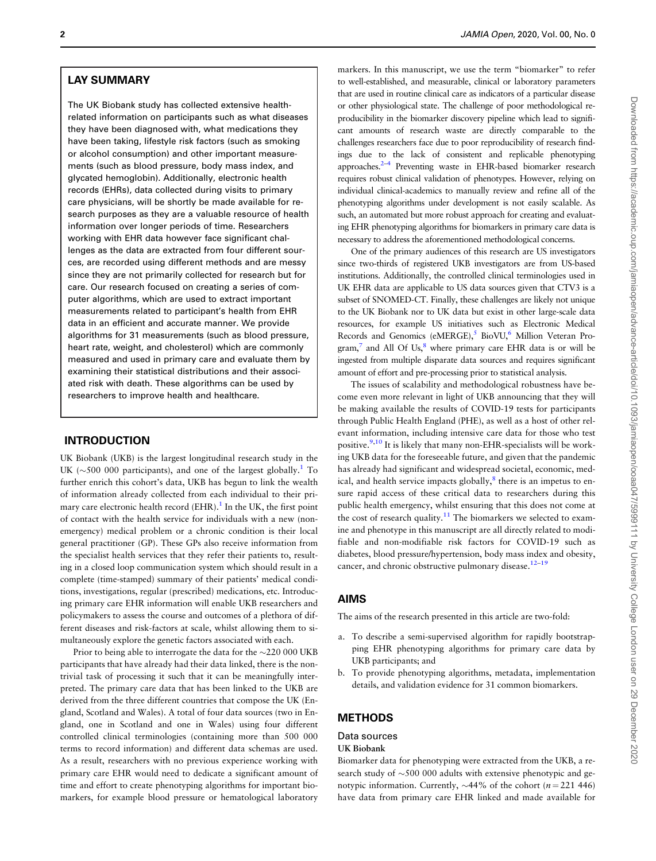## LAY SUMMARY

The UK Biobank study has collected extensive healthrelated information on participants such as what diseases they have been diagnosed with, what medications they have been taking, lifestyle risk factors (such as smoking or alcohol consumption) and other important measurements (such as blood pressure, body mass index, and glycated hemoglobin). Additionally, electronic health records (EHRs), data collected during visits to primary care physicians, will be shortly be made available for research purposes as they are a valuable resource of health information over longer periods of time. Researchers working with EHR data however face significant challenges as the data are extracted from four different sources, are recorded using different methods and are messy since they are not primarily collected for research but for care. Our research focused on creating a series of computer algorithms, which are used to extract important measurements related to participant's health from EHR data in an efficient and accurate manner. We provide algorithms for 31 measurements (such as blood pressure, heart rate, weight, and cholesterol) which are commonly measured and used in primary care and evaluate them by examining their statistical distributions and their associated risk with death. These algorithms can be used by researchers to improve health and healthcare.

## INTRODUCTION

UK Biobank (UKB) is the largest longitudinal research study in the UK ( $\sim$ 500 000 participants), and one of the largest globally.<sup>1</sup> To further enrich this cohort's data, UKB has begun to link the wealth of information already collected from each individual to their primary care electronic health record  $(EHR)$ .<sup>[1](#page-10-0)</sup> In the UK, the first point of contact with the health service for individuals with a new (nonemergency) medical problem or a chronic condition is their local general practitioner (GP). These GPs also receive information from the specialist health services that they refer their patients to, resulting in a closed loop communication system which should result in a complete (time-stamped) summary of their patients' medical conditions, investigations, regular (prescribed) medications, etc. Introducing primary care EHR information will enable UKB researchers and policymakers to assess the course and outcomes of a plethora of different diseases and risk-factors at scale, whilst allowing them to simultaneously explore the genetic factors associated with each.

Prior to being able to interrogate the data for the  ${\sim}220~000$  UKB participants that have already had their data linked, there is the nontrivial task of processing it such that it can be meaningfully interpreted. The primary care data that has been linked to the UKB are derived from the three different countries that compose the UK (England, Scotland and Wales). A total of four data sources (two in England, one in Scotland and one in Wales) using four different controlled clinical terminologies (containing more than 500 000 terms to record information) and different data schemas are used. As a result, researchers with no previous experience working with primary care EHR would need to dedicate a significant amount of time and effort to create phenotyping algorithms for important biomarkers, for example blood pressure or hematological laboratory

markers. In this manuscript, we use the term "biomarker" to refer to well-established, and measurable, clinical or laboratory parameters that are used in routine clinical care as indicators of a particular disease or other physiological state. The challenge of poor methodological reproducibility in the biomarker discovery pipeline which lead to significant amounts of research waste are directly comparable to the challenges researchers face due to poor reproducibility of research findings due to the lack of consistent and replicable phenotyping approaches.[2–4](#page-10-0) Preventing waste in EHR-based biomarker research requires robust clinical validation of phenotypes. However, relying on individual clinical-academics to manually review and refine all of the phenotyping algorithms under development is not easily scalable. As such, an automated but more robust approach for creating and evaluating EHR phenotyping algorithms for biomarkers in primary care data is necessary to address the aforementioned methodological concerns.

One of the primary audiences of this research are US investigators since two-thirds of registered UKB investigators are from US-based institutions. Additionally, the controlled clinical terminologies used in UK EHR data are applicable to US data sources given that CTV3 is a subset of SNOMED-CT. Finally, these challenges are likely not unique to the UK Biobank nor to UK data but exist in other large-scale data resources, for example US initiatives such as Electronic Medical Records and Genomics (eMERGE),<sup>[5](#page-10-0)</sup> BioVU,<sup>6</sup> Million Veteran Pro $gram$ ,<sup>[7](#page-10-0)</sup> and All Of Us, $8$  where primary care EHR data is or will be ingested from multiple disparate data sources and requires significant amount of effort and pre-processing prior to statistical analysis.

The issues of scalability and methodological robustness have become even more relevant in light of UKB announcing that they will be making available the results of COVID-19 tests for participants through Public Health England (PHE), as well as a host of other relevant information, including intensive care data for those who test positive.<sup>9,10</sup> It is likely that many non-EHR-specialists will be working UKB data for the foreseeable future, and given that the pandemic has already had significant and widespread societal, economic, medical, and health service impacts globally, $\frac{8}{3}$  $\frac{8}{3}$  $\frac{8}{3}$  there is an impetus to ensure rapid access of these critical data to researchers during this public health emergency, whilst ensuring that this does not come at the cost of research quality.<sup>11</sup> The biomarkers we selected to examine and phenotype in this manuscript are all directly related to modifiable and non-modifiable risk factors for COVID-19 such as diabetes, blood pressure/hypertension, body mass index and obesity, cancer, and chronic obstructive pulmonary disease.<sup>12–19</sup>

#### AIMS

The aims of the research presented in this article are two-fold:

- a. To describe a semi-supervised algorithm for rapidly bootstrapping EHR phenotyping algorithms for primary care data by UKB participants; and
- b. To provide phenotyping algorithms, metadata, implementation details, and validation evidence for 31 common biomarkers.

## METHODS

### Data sources

UK Biobank

Biomarker data for phenotyping were extracted from the UKB, a research study of  $\sim$  500 000 adults with extensive phenotypic and genotypic information. Currently,  $\sim$ 44% of the cohort (*n* = 221 446) have data from primary care EHR linked and made available for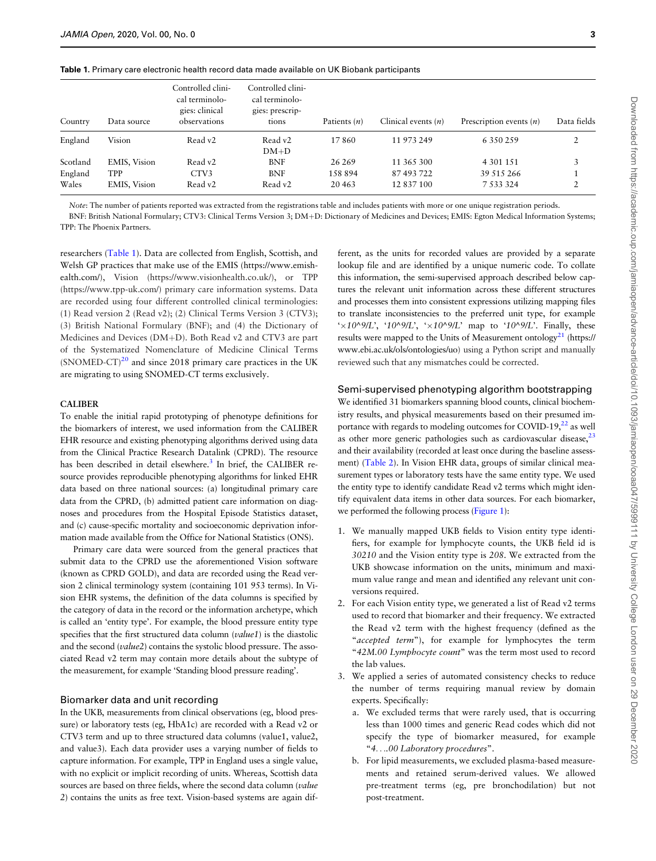|  |  | Table 1. Primary care electronic health record data made available on UK Biobank participants |  |  |  |  |  |  |  |
|--|--|-----------------------------------------------------------------------------------------------|--|--|--|--|--|--|--|
|--|--|-----------------------------------------------------------------------------------------------|--|--|--|--|--|--|--|

| Country  | Data source  | Controlled clini-<br>cal terminolo-<br>gies: clinical<br>observations | Controlled clini-<br>cal terminolo-<br>gies: prescrip-<br>tions | Patients $(n)$ | Clinical events $(n)$ | Prescription events $(n)$ | Data fields       |
|----------|--------------|-----------------------------------------------------------------------|-----------------------------------------------------------------|----------------|-----------------------|---------------------------|-------------------|
| England  | Vision       | Read v2                                                               | Read v2                                                         | 17860          | 11 973 249            | 6 3 5 0 2 5 9             |                   |
|          |              |                                                                       | $DM+D$                                                          |                |                       |                           |                   |
| Scotland | EMIS, Vision | Read v2                                                               | <b>BNF</b>                                                      | 26 26 9        | 11 365 300            | 4 301 151                 |                   |
| England  | <b>TPP</b>   | CTV3                                                                  | <b>BNF</b>                                                      | 158 894        | 87 493 722            | 39 515 266                |                   |
| Wales    | EMIS, Vision | Read v2                                                               | Read v2                                                         | 20463          | 12 837 100            | 7 5 3 3 3 2 4             | $\mathbf{\Omega}$ |

Note: The number of patients reported was extracted from the registrations table and includes patients with more or one unique registration periods.

BNF: British National Formulary; CTV3: Clinical Terms Version 3; DM+D: Dictionary of Medicines and Devices; EMIS: Egton Medical Information Systems; TPP: The Phoenix Partners.

researchers (Table 1). Data are collected from English, Scottish, and Welsh GP practices that make use of the EMIS [\(https://www.emish](https://www.emishealth.com/)[ealth.com/\)](https://www.emishealth.com/), Vision [\(https://www.visionhealth.co.uk/](https://www.visionhealth.co.uk/)), or TPP [\(https://www.tpp-uk.com/](https://www.tpp-uk.com/)) primary care information systems. Data are recorded using four different controlled clinical terminologies: (1) Read version 2 (Read v2); (2) Clinical Terms Version 3 (CTV3); (3) British National Formulary (BNF); and (4) the Dictionary of Medicines and Devices ( $DM+D$ ). Both Read v2 and CTV3 are part of the Systematized Nomenclature of Medicine Clinical Terms  $(SNOMED-CT)^{20}$  and since 2018 primary care practices in the UK are migrating to using SNOMED-CT terms exclusively.

#### CALIBER

To enable the initial rapid prototyping of phenotype definitions for the biomarkers of interest, we used information from the CALIBER EHR resource and existing phenotyping algorithms derived using data from the Clinical Practice Research Datalink (CPRD). The resource has been described in detail elsewhere.<sup>3</sup> In brief, the CALIBER resource provides reproducible phenotyping algorithms for linked EHR data based on three national sources: (a) longitudinal primary care data from the CPRD, (b) admitted patient care information on diagnoses and procedures from the Hospital Episode Statistics dataset, and (c) cause-specific mortality and socioeconomic deprivation information made available from the Office for National Statistics (ONS).

Primary care data were sourced from the general practices that submit data to the CPRD use the aforementioned Vision software (known as CPRD GOLD), and data are recorded using the Read version 2 clinical terminology system (containing 101 953 terms). In Vision EHR systems, the definition of the data columns is specified by the category of data in the record or the information archetype, which is called an 'entity type'. For example, the blood pressure entity type specifies that the first structured data column (value1) is the diastolic and the second (value2) contains the systolic blood pressure. The associated Read v2 term may contain more details about the subtype of the measurement, for example 'Standing blood pressure reading'.

#### Biomarker data and unit recording

In the UKB, measurements from clinical observations (eg, blood pressure) or laboratory tests (eg, HbA1c) are recorded with a Read v2 or CTV3 term and up to three structured data columns (value1, value2, and value3). Each data provider uses a varying number of fields to capture information. For example, TPP in England uses a single value, with no explicit or implicit recording of units. Whereas, Scottish data sources are based on three fields, where the second data column (value 2) contains the units as free text. Vision-based systems are again dif-

ferent, as the units for recorded values are provided by a separate lookup file and are identified by a unique numeric code. To collate this information, the semi-supervised approach described below captures the relevant unit information across these different structures and processes them into consistent expressions utilizing mapping files to translate inconsistencies to the preferred unit type, for example ' $\times$ 10^9/L', '10^9/L', ' $\times$ 10^9/L' map to '10^9/L'. Finally, these results were mapped to the Units of Measurement ontology<sup>21</sup> [\(https://](https://www.ebi.ac.uk/ols/ontologies/uo) [www.ebi.ac.uk/ols/ontologies/uo\)](https://www.ebi.ac.uk/ols/ontologies/uo) using a Python script and manually reviewed such that any mismatches could be corrected.

#### Semi-supervised phenotyping algorithm bootstrapping

We identified 31 biomarkers spanning blood counts, clinical biochemistry results, and physical measurements based on their presumed importance with regards to modeling outcomes for COVID-19, $^{22}$  as well as other more generic pathologies such as cardiovascular disease, $^{23}$ and their availability (recorded at least once during the baseline assessment) [\(Table 2](#page-3-0)). In Vision EHR data, groups of similar clinical measurement types or laboratory tests have the same entity type. We used the entity type to identify candidate Read v2 terms which might identify equivalent data items in other data sources. For each biomarker, we performed the following process [\(Figure 1\)](#page-4-0):

- 1. We manually mapped UKB fields to Vision entity type identifiers, for example for lymphocyte counts, the UKB field id is 30210 and the Vision entity type is 208. We extracted from the UKB showcase information on the units, minimum and maximum value range and mean and identified any relevant unit conversions required.
- 2. For each Vision entity type, we generated a list of Read v2 terms used to record that biomarker and their frequency. We extracted the Read v2 term with the highest frequency (defined as the "accepted term"), for example for lymphocytes the term "42M.00 Lymphocyte count" was the term most used to record the lab values.
- 3. We applied a series of automated consistency checks to reduce the number of terms requiring manual review by domain experts. Specifically:
	- a. We excluded terms that were rarely used, that is occurring less than 1000 times and generic Read codes which did not specify the type of biomarker measured, for example "4....00 Laboratory procedures".
	- b. For lipid measurements, we excluded plasma-based measurements and retained serum-derived values. We allowed pre-treatment terms (eg, pre bronchodilation) but not post-treatment.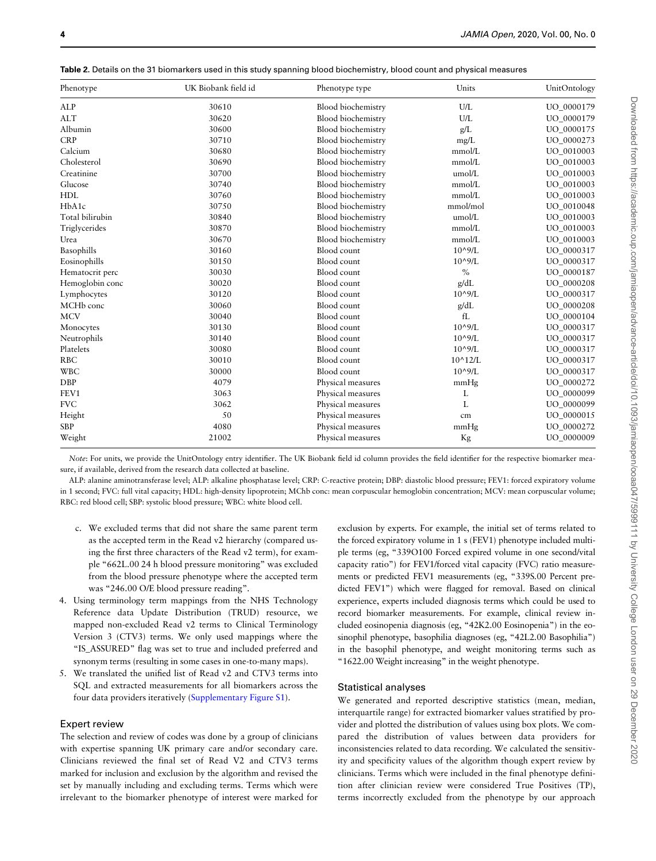<span id="page-3-0"></span>

| <b>Table 2</b> . Details on the 31 biomarkers used in this study spanning blood biochemistry, blood count and physical measures |  |
|---------------------------------------------------------------------------------------------------------------------------------|--|
|---------------------------------------------------------------------------------------------------------------------------------|--|

| Phenotype             | UK Biobank field id | Phenotype type            | Units            | UnitOntology |
|-----------------------|---------------------|---------------------------|------------------|--------------|
| <b>ALP</b>            | 30610               | <b>Blood</b> biochemistry | U/L              | UO_0000179   |
| <b>ALT</b>            | 30620               | <b>Blood</b> biochemistry | U/L              | UO 0000179   |
| Albumin               | 30600               | <b>Blood</b> biochemistry | g/L              | UO 0000175   |
| <b>CRP</b>            | 30710               | <b>Blood</b> biochemistry | $mg/L$           | UO_0000273   |
| Calcium               | 30680               | Blood biochemistry        | mmol/L           | UO 0010003   |
| Cholesterol           | 30690               | Blood biochemistry        | mmol/L           | UO_0010003   |
| Creatinine            | 30700               | <b>Blood</b> biochemistry | umol/L           | UO_0010003   |
| Glucose               | 30740               | <b>Blood</b> biochemistry | mmol/L           | UO_0010003   |
| <b>HDL</b>            | 30760               | Blood biochemistry        | mmol/L           | UO_0010003   |
| HbA1c                 | 30750               | <b>Blood biochemistry</b> | mmol/mol         | UO 0010048   |
| Total bilirubin       | 30840               | <b>Blood</b> biochemistry | umol/L           | UO 0010003   |
| Triglycerides         | 30870               | <b>Blood</b> biochemistry | mmol/L           | UO 0010003   |
| Urea                  | 30670               | <b>Blood</b> biochemistry | mmol/L           | UO_0010003   |
| Basophills            | 30160               | Blood count               | $10^{\circ}9/L$  | UO_0000317   |
| Eosinophills          | 30150               | Blood count               | $10^{0.9}$ /I.   | UO 0000317   |
| Hematocrit perc       | 30030               | Blood count               | $\%$             | UO_0000187   |
| Hemoglobin conc       | 30020               | Blood count               | g/dL             | UO_0000208   |
| Lymphocytes           | 30120               | Blood count               | $10^{\circ}9/L$  | UO_0000317   |
| MCH <sub>b</sub> conc | 30060               | Blood count               | g/dL             | UO_0000208   |
| <b>MCV</b>            | 30040               | Blood count               | fL               | UO 0000104   |
| Monocytes             | 30130               | Blood count               | $10^{\circ}9/L$  | UO 0000317   |
| Neutrophils           | 30140               | Blood count               | $10^{\circ}9/L$  | UO_0000317   |
| Platelets             | 30080               | Blood count               | $10^{\circ}9/L$  | UO_0000317   |
| <b>RBC</b>            | 30010               | Blood count               | $10^{\circ}12/L$ | UO 0000317   |
| <b>WBC</b>            | 30000               | Blood count               | $10^{\circ}9/L$  | UO_0000317   |
| <b>DBP</b>            | 4079                | Physical measures         | mmHg             | UO 0000272   |
| FEV1                  | 3063                | Physical measures         | L                | UO_0000099   |
| <b>FVC</b>            | 3062                | Physical measures         | L                | UO_0000099   |
| Height                | 50                  | Physical measures         | cm               | UO_0000015   |
| <b>SBP</b>            | 4080                | Physical measures         | mmHg             | UO 0000272   |
| Weight                | 21002               | Physical measures         | Kg               | UO_0000009   |

Note: For units, we provide the UnitOntology entry identifier. The UK Biobank field id column provides the field identifier for the respective biomarker measure, if available, derived from the research data collected at baseline.

ALP: alanine aminotransferase level; ALP: alkaline phosphatase level; CRP: C-reactive protein; DBP: diastolic blood pressure; FEV1: forced expiratory volume in 1 second; FVC: full vital capacity; HDL: high-density lipoprotein; MChb conc: mean corpuscular hemoglobin concentration; MCV: mean corpuscular volume; RBC: red blood cell; SBP: systolic blood pressure; WBC: white blood cell.

- c. We excluded terms that did not share the same parent term as the accepted term in the Read v2 hierarchy (compared using the first three characters of the Read v2 term), for example "662L.00 24 h blood pressure monitoring" was excluded from the blood pressure phenotype where the accepted term was "246.00 O/E blood pressure reading".
- 4. Using terminology term mappings from the NHS Technology Reference data Update Distribution (TRUD) resource, we mapped non-excluded Read v2 terms to Clinical Terminology Version 3 (CTV3) terms. We only used mappings where the "IS\_ASSURED" flag was set to true and included preferred and synonym terms (resulting in some cases in one-to-many maps).
- 5. We translated the unified list of Read v2 and CTV3 terms into SQL and extracted measurements for all biomarkers across the four data providers iteratively (Supplementary Figure S1).

#### Expert review

The selection and review of codes was done by a group of clinicians with expertise spanning UK primary care and/or secondary care. Clinicians reviewed the final set of Read V2 and CTV3 terms marked for inclusion and exclusion by the algorithm and revised the set by manually including and excluding terms. Terms which were irrelevant to the biomarker phenotype of interest were marked for

exclusion by experts. For example, the initial set of terms related to the forced expiratory volume in 1 s (FEV1) phenotype included multiple terms (eg, "339O100 Forced expired volume in one second/vital capacity ratio") for FEV1/forced vital capacity (FVC) ratio measurements or predicted FEV1 measurements (eg, "339S.00 Percent predicted FEV1") which were flagged for removal. Based on clinical experience, experts included diagnosis terms which could be used to record biomarker measurements. For example, clinical review included eosinopenia diagnosis (eg, "42K2.00 Eosinopenia") in the eosinophil phenotype, basophilia diagnoses (eg, "42L2.00 Basophilia") in the basophil phenotype, and weight monitoring terms such as "1622.00 Weight increasing" in the weight phenotype.

#### Statistical analyses

We generated and reported descriptive statistics (mean, median, interquartile range) for extracted biomarker values stratified by provider and plotted the distribution of values using box plots. We compared the distribution of values between data providers for inconsistencies related to data recording. We calculated the sensitivity and specificity values of the algorithm though expert review by clinicians. Terms which were included in the final phenotype definition after clinician review were considered True Positives (TP), terms incorrectly excluded from the phenotype by our approach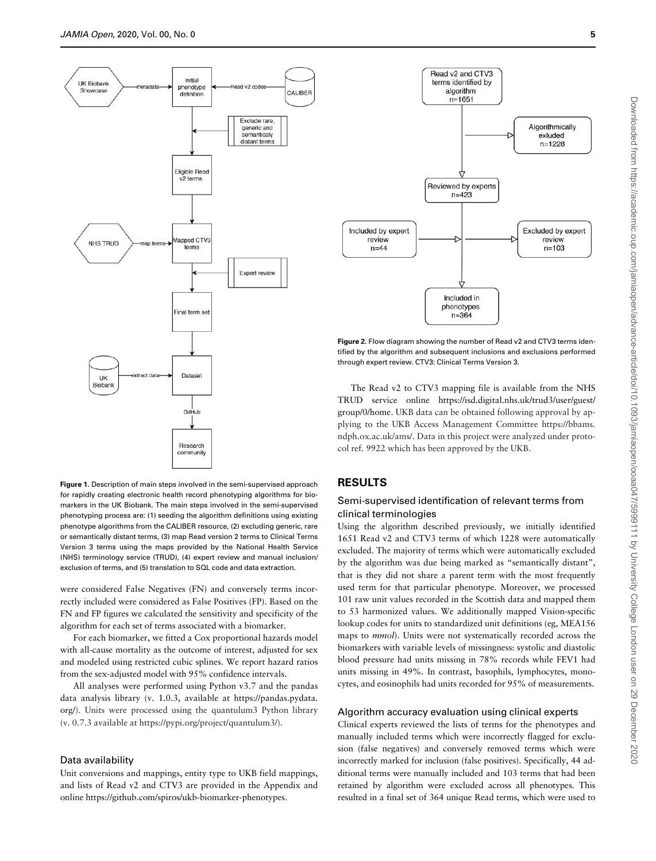<span id="page-4-0"></span>

Figure 1. Description of main steps involved in the semi-supervised approach for rapidly creating electronic health record phenotyping algorithms for biomarkers in the UK Biobank. The main steps involved in the semi-supervised phenotyping process are: (1) seeding the algorithm definitions using existing phenotype algorithms from the CALIBER resource, (2) excluding generic, rare or semantically distant terms, (3) map Read version 2 terms to Clinical Terms Version 3 terms using the maps provided by the National Health Service (NHS) terminology service (TRUD), (4) expert review and manual inclusion/ exclusion of terms, and (5) translation to SQL code and data extraction.

were considered False Negatives (FN) and conversely terms incorrectly included were considered as False Positives (FP). Based on the FN and FP figures we calculated the sensitivity and specificity of the algorithm for each set of terms associated with a biomarker.

For each biomarker, we fitted a Cox proportional hazards model with all-cause mortality as the outcome of interest, adjusted for sex and modeled using restricted cubic splines. We report hazard ratios from the sex-adjusted model with 95% confidence intervals.

All analyses were performed using Python v3.7 and the pandas data analysis library (v. 1.0.3, available at [https://pandas.pydata.](https://pandas.pydata.org/) [org/](https://pandas.pydata.org/)). Units were processed using the quantulum3 Python library (v. 0.7.3 available at [https://pypi.org/project/quantulum3/\)](https://pypi.org/project/quantulum3/).

### Data availability

Unit conversions and mappings, entity type to UKB field mappings, and lists of Read v2 and CTV3 are provided in the Appendix and online [https://github.com/spiros/ukb-biomarker-phenotypes.](https://github.com/spiros/ukb-biomarker-phenotypes)



Figure 2. Flow diagram showing the number of Read v2 and CTV3 terms identified by the algorithm and subsequent inclusions and exclusions performed through expert review. CTV3: Clinical Terms Version 3.

The Read v2 to CTV3 mapping file is available from the NHS TRUD service online [https://isd.digital.nhs.uk/trud3/user/guest/](https://isd.digital.nhs.uk/trud3/user/guest/group/0/home) [group/0/home.](https://isd.digital.nhs.uk/trud3/user/guest/group/0/home) UKB data can be obtained following approval by applying to the UKB Access Management Committee [https://bbams.](https://bbams.ndph.ox.ac.uk/ams/) [ndph.ox.ac.uk/ams/](https://bbams.ndph.ox.ac.uk/ams/). Data in this project were analyzed under protocol ref. 9922 which has been approved by the UKB.

### RESULTS

## Semi-supervised identification of relevant terms from clinical terminologies

Using the algorithm described previously, we initially identified 1651 Read v2 and CTV3 terms of which 1228 were automatically excluded. The majority of terms which were automatically excluded by the algorithm was due being marked as "semantically distant", that is they did not share a parent term with the most frequently used term for that particular phenotype. Moreover, we processed 101 raw unit values recorded in the Scottish data and mapped them to 53 harmonized values. We additionally mapped Vision-specific lookup codes for units to standardized unit definitions (eg, MEA156 maps to mmol). Units were not systematically recorded across the biomarkers with variable levels of missingness: systolic and diastolic blood pressure had units missing in 78% records while FEV1 had units missing in 49%. In contrast, basophils, lymphocytes, monocytes, and eosinophils had units recorded for 95% of measurements.

### Algorithm accuracy evaluation using clinical experts

Clinical experts reviewed the lists of terms for the phenotypes and manually included terms which were incorrectly flagged for exclusion (false negatives) and conversely removed terms which were incorrectly marked for inclusion (false positives). Specifically, 44 additional terms were manually included and 103 terms that had been retained by algorithm were excluded across all phenotypes. This resulted in a final set of 364 unique Read terms, which were used to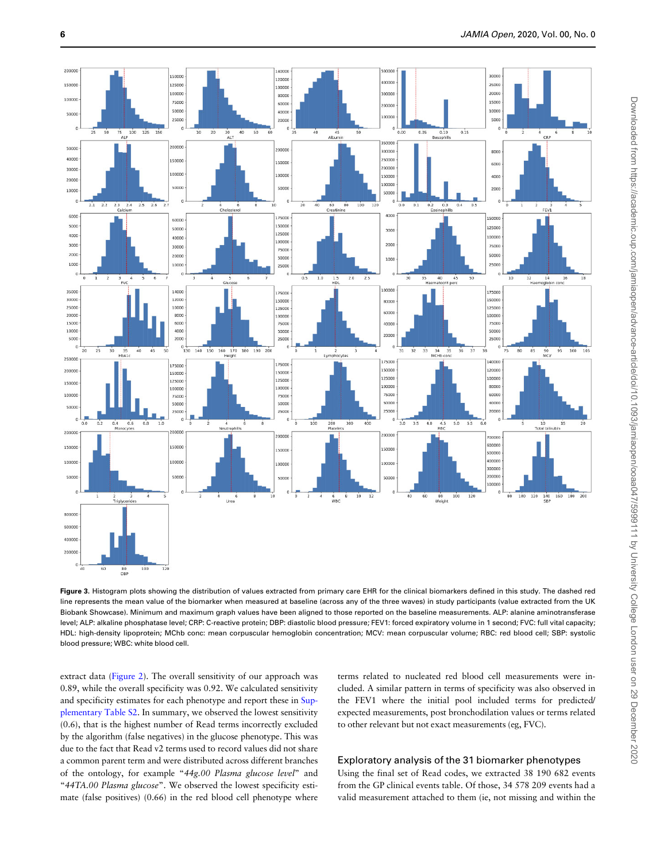<span id="page-5-0"></span>

Figure 3. Histogram plots showing the distribution of values extracted from primary care EHR for the clinical biomarkers defined in this study. The dashed red line represents the mean value of the biomarker when measured at baseline (across any of the three waves) in study participants (value extracted from the UK Biobank Showcase). Minimum and maximum graph values have been aligned to those reported on the baseline measurements. ALP: alanine aminotransferase level; ALP: alkaline phosphatase level; CRP: C-reactive protein; DBP: diastolic blood pressure; FEV1: forced expiratory volume in 1 second; FVC: full vital capacity; HDL: high-density lipoprotein; MChb conc: mean corpuscular hemoglobin concentration; MCV: mean corpuscular volume; RBC: red blood cell; SBP: systolic blood pressure; WBC: white blood cell.

extract data [\(Figure 2](#page-4-0)). The overall sensitivity of our approach was 0.89, while the overall specificity was 0.92. We calculated sensitivity and specificity estimates for each phenotype and report these in Supplementary Table S2. In summary, we observed the lowest sensitivity (0.6), that is the highest number of Read terms incorrectly excluded by the algorithm (false negatives) in the glucose phenotype. This was due to the fact that Read v2 terms used to record values did not share a common parent term and were distributed across different branches of the ontology, for example "44g.00 Plasma glucose level" and "44TA.00 Plasma glucose". We observed the lowest specificity estimate (false positives) (0.66) in the red blood cell phenotype where

terms related to nucleated red blood cell measurements were included. A similar pattern in terms of specificity was also observed in the FEV1 where the initial pool included terms for predicted/ expected measurements, post bronchodilation values or terms related to other relevant but not exact measurements (eg, FVC).

## Exploratory analysis of the 31 biomarker phenotypes

Using the final set of Read codes, we extracted 38 190 682 events from the GP clinical events table. Of those, 34 578 209 events had a valid measurement attached to them (ie, not missing and within the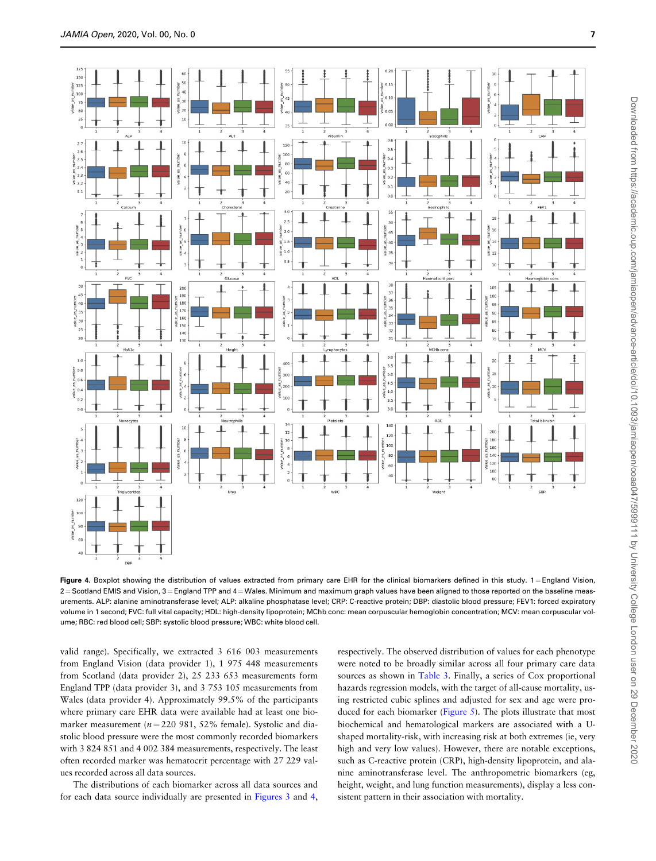

Figure 4. Boxplot showing the distribution of values extracted from primary care EHR for the clinical biomarkers defined in this study. 1= England Vision,  $2$  = Scotland EMIS and Vision,  $3$  = England TPP and  $4$  = Wales. Minimum and maximum graph values have been aligned to those reported on the baseline measurements. ALP: alanine aminotransferase level; ALP: alkaline phosphatase level; CRP: C-reactive protein; DBP: diastolic blood pressure; FEV1: forced expiratory volume in 1 second; FVC: full vital capacity; HDL: high-density lipoprotein; MChb conc: mean corpuscular hemoglobin concentration; MCV: mean corpuscular volume; RBC: red blood cell; SBP: systolic blood pressure; WBC: white blood cell.

valid range). Specifically, we extracted 3 616 003 measurements from England Vision (data provider 1), 1 975 448 measurements from Scotland (data provider 2), 25 233 653 measurements form England TPP (data provider 3), and 3 753 105 measurements from Wales (data provider 4). Approximately 99.5% of the participants where primary care EHR data were available had at least one biomarker measurement ( $n = 220$  981, 52% female). Systolic and diastolic blood pressure were the most commonly recorded biomarkers with 3 824 851 and 4 002 384 measurements, respectively. The least often recorded marker was hematocrit percentage with 27 229 values recorded across all data sources.

The distributions of each biomarker across all data sources and for each data source individually are presented in [Figures 3](#page-5-0) and 4, respectively. The observed distribution of values for each phenotype were noted to be broadly similar across all four primary care data sources as shown in [Table 3.](#page-7-0) Finally, a series of Cox proportional hazards regression models, with the target of all-cause mortality, using restricted cubic splines and adjusted for sex and age were produced for each biomarker [\(Figure 5](#page-8-0)). The plots illustrate that most biochemical and hematological markers are associated with a Ushaped mortality-risk, with increasing risk at both extremes (ie, very high and very low values). However, there are notable exceptions, such as C-reactive protein (CRP), high-density lipoprotein, and alanine aminotransferase level. The anthropometric biomarkers (eg, height, weight, and lung function measurements), display a less consistent pattern in their association with mortality.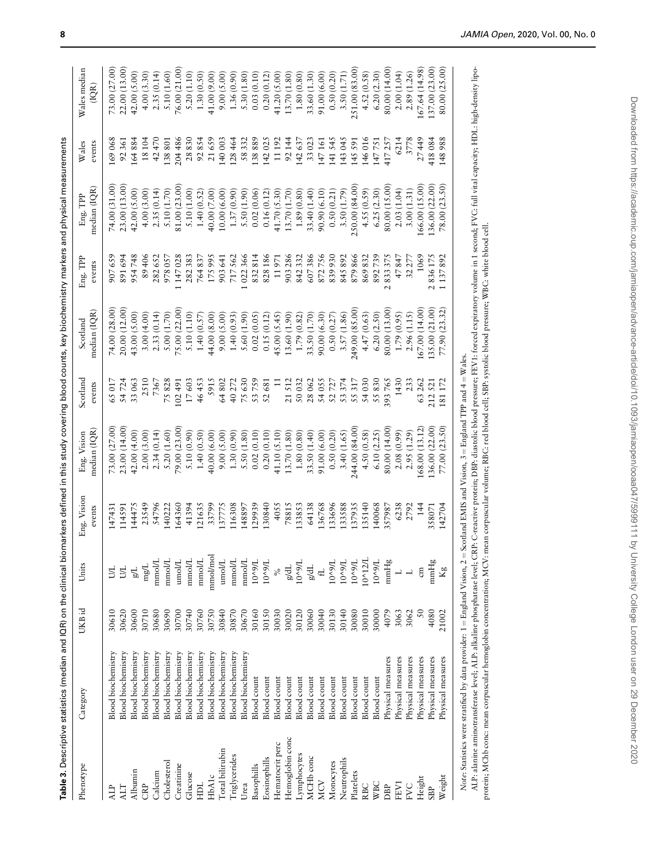<span id="page-7-0"></span>

|                       | Table 3. Descriptive statistics (median and IQR) on the clinical biomarkers defined in this study covering blood counts, key biochemistry markers and physical measurements |                 |                               |                       |                             |                    |                          |                                    |                          |                 |                              |
|-----------------------|-----------------------------------------------------------------------------------------------------------------------------------------------------------------------------|-----------------|-------------------------------|-----------------------|-----------------------------|--------------------|--------------------------|------------------------------------|--------------------------|-----------------|------------------------------|
| Phenotype             | Category                                                                                                                                                                    | UKB id          | Units                         | Eng. Vision<br>events | median (IQR)<br>Eng. Vision | Scotland<br>events | median (IQR)<br>Scotland | ${\rm Eng.}$ ${\rm TPP}$<br>events | median (IQR)<br>Eng. TPP | Wales<br>events | Wales median<br>(IQR)        |
| ALP                   | <b>Blood</b> biochemistry                                                                                                                                                   | 30610           | <b>S</b>                      | 147431                | 73.00 (27.00                | 65017              | 74.00 (28.00             | 907659                             | 74.00 (31.00             | 169068          | 73.00 (27.00                 |
| ALT                   | Blood biochemistry                                                                                                                                                          | 30620           | БL                            | 114591                | 23.00 (14.00                | 54724              | 20.00 (12.00             | 891694                             | 23.00 (13.00             | 92361           | 22.00 (13.00)                |
| Albumin               | Blood biochemistry                                                                                                                                                          | 30600           | F/B                           | 144475                | 42.00 (4.00)                | 33063              | 43.00 (5.00)             | 954748                             | 42.00 (5.00)             | 164884          | 42.00 (5.00)                 |
| CRP                   | <b>Blood</b> biochemistry                                                                                                                                                   | 30710           | $_{\rm mgL}$                  | 23549                 | 2.00 (3.00)                 | 2510               | 3.00(4.00)               | 89406                              | 4.00(3.00)               | 18104           | 4.00(3.30)                   |
| Calcium               | <b>Blood biochemistry</b>                                                                                                                                                   | 30680           | mmol/L                        | 54796                 | 2.34(0.14)                  | 7367               | 2.33(0.14)               | 282652                             | 2.35(0.14)               | 42470           | 2.35(0.14)                   |
| Cholesterol           | <b>Blood biochemistry</b>                                                                                                                                                   | 30690           | $\text{mmolL}$                | 140222                | 5.20 (1.60)                 | 75828              | 5.00 (1.70)              | 9780S7                             | 5.10 (1.70)              | 138801          | 5.10 (1.60)                  |
| Creatinine            | <b>Blood</b> biochemistry                                                                                                                                                   | 30700           | $\text{unol/L}$               | 164360                | 79.00(23.00)                | 102491             | 75.00 (22.00)            | .147028                            | 81.00 (23.00)            | 204486          | 76.00 (21.00                 |
| Glucose               | <b>Blood</b> biochemistry                                                                                                                                                   | 30740           | $\mbox{mmolL}$                | 41394                 | 5.10 (0.90)                 | 17603              | 5.10 (1.10)              | 282383                             | 5.10 (1.00)              | 28830           | 5.20 (1.10)                  |
| HDL                   | <b>Blood</b> biochemistry                                                                                                                                                   | 30760           | mmol/L                        | 121635                | 1.40(0.50)                  | 46453              | 1.40(0.57)               | 764837                             | 1.40(0.52)               | 92854           | 1.30(0.50)                   |
| <b>HbA1c</b>          | <b>Blood</b> biochemistry                                                                                                                                                   | 30750           | mmol/mol                      | 33799                 | 40.00 (6.00)                | 5915               | 44.00 (8.00)             | 175995                             | 40.00 (7.00)             | 21659           | 41.00 (9.00)                 |
| Total bilirubin       | <b>Blood</b> biochemistry                                                                                                                                                   | 30840           | $\ensuremath{\mathsf{unolL}}$ | 137775                | 9.00 (5.00)                 | 64802              | 9.00(5.00)               | 903641                             | 10.00 (6.00)             | 140 003         | (5.00)<br>0.00(              |
| Triglycerides         | <b>Blood</b> biochemistry                                                                                                                                                   | 30870           | mmolL                         | 116308                | 1.30(0.90)                  | 40272              | 1.40(0.93)               | 717562                             | 1.37(0.90)               | 128464          | 1.36 (0.90)                  |
| Urea                  | <b>Blood biochemistry</b>                                                                                                                                                   | 30670           | mmol/L                        | 148897                | 5.50 (1.80)                 | 75630              | 5.60 (1.90)              | 022366                             | 5.50 (1.90)              | 58332           | (1.80)<br>5.30 <sub>0</sub>  |
| Basophills            | Blood count                                                                                                                                                                 | 30160           | 10^9/L                        | 129939                | 0.02(0.10)                  | 53759              | 0.02(0.05)               | 832814                             | 0.02(0.06)               | 138889          | (0.10)<br>0.03(              |
| Eosinophills          | <b>Blood</b> count                                                                                                                                                          | 30150           | 10^9/L                        | 130840                | 0.20(0.10)                  | 52681              | 0.15(0.12)               | 828186                             | 0.16(0.12)               | 142025          | 0.20(0.12)                   |
| Hematocrit perc       | Blood count                                                                                                                                                                 | 30030           | $\frac{5}{6}$                 | 4055                  | 41.10 (5.10)                | $\Xi$              | 45.00(5.45)              | 11971                              | 41.70 (5.30)             | 11192           | $(5.00)$<br>(1.80)<br>41.20( |
| Hemoglobin conc       | <b>Blood</b> count                                                                                                                                                          | 30020           | $_{\rm gdL}$                  | 78815                 | 13.70 (1.80)                | 21512              | 13.60 (1.90)             | 903286                             | 13.70 (1.70)             | 92144           | 13.70                        |
| Lymphocytes           | Blood count                                                                                                                                                                 | 30120           | 10^9/L                        | 133853                | 1.80(0.80)                  | 50032              | 1.79 (0.82)              | 842332                             | 1.89 (0.80)              | 142637          | 1.80(0.80)                   |
| MCH <sub>b</sub> conc | Blood count                                                                                                                                                                 | 30060           | $_{\rm gdL}$                  | 64138                 | 33.50 (1.40)                | 28062              | 33.50 (1.70)             | 607386                             | 33.40 (1.40)             | 33023           | 33.60 (1.30)                 |
| <b>MCV</b>            | Blood count                                                                                                                                                                 | 30040           | $\pm$                         | 136768                | 91.00 (6.00)                | 54 055             | 90.00 (6.30)             | 872756                             | 90.90 (6.10)             | 147161          | 91.00 (6.00)                 |
| Monocytes             | Blood count                                                                                                                                                                 | 30130           | 10^9/L                        | 133696                | 0.50(0.20)                  | 52727              | 0.50(0.27)               | 839930                             | 0.50(0.21)               | 141545          | 0.50(0.20)                   |
| Neutrophils           | <b>Blood</b> count                                                                                                                                                          | 30140           | 10^9/L                        | 133588                | 3.40 (1.65)                 | 53 374             | 3.57(1.86)               | 845892                             | 3.50 (1.79)              | 143045          | 3.50 (1.71)                  |
| Platelets             | Blood count                                                                                                                                                                 | 30080           | 10^9/L                        | 137935                | 244.00 (84.00)              | 55317              | 249.00 (85.00)           | 879866                             | 250.00 (84.00)           | 145 591         | 251.00 (83.00)               |
| RBC                   | <b>Blood</b> count                                                                                                                                                          | 30010           | 10^12/L                       | 135140                | 4.50 (0.58)                 | 54030              | 4.47(0.63)               | 869832                             | 4.55(0.59)               | 146016          | 4.52 (0.58)                  |
| <b>WBC</b>            | <b>Blood</b> count                                                                                                                                                          | 30000           | 10^9/L                        | 140068                | 6.10(2.25)                  | 55830              | 6.20(2.50)               | 892739                             | 6.25(2.30)               | 147751          | 6.20(2.30)                   |
| DBP                   | Physical measures                                                                                                                                                           | 4079            | $\text{mmHg}$                 | 357987                | 80.00 (14.00)               | 393765             | 80.00 (13.00)            | 2833375                            | 80.00 (15.00)            | 417257          | 80.00 (14.00)                |
| FEV1                  | Physical measures                                                                                                                                                           | 3063            |                               | 6238                  | 2.08 (0.99)                 | 1430               | 1.79(0.95)               | 47847                              | 2.03(1.04)               | 6214            | 2.00(1.04)                   |
| FVC                   | Physical measures                                                                                                                                                           | 3062            | $\overline{\phantom{0}}$      | 2792                  | 2.95 (1.29)                 | 233                | 2.96 (1.15)              | 32277                              | 3.00(1.31)               | 3778            | (1.26)<br>2.89(              |
| Height                | Physical measures                                                                                                                                                           | $\overline{50}$ | $\epsilon$ m                  | 144                   | 68.00 (13.12)               | 63262              | 67.00 (14.00)            | 1069                               | 66.00 (15.00)            | 27449           | (14.98)<br>67.64             |
| <b>SBP</b>            | Physical measures                                                                                                                                                           | 4080            | $\text{mmHg}$                 | 358071                | 136.00 (22.00)              | 212521             | .35,00(21,00)            | 2836175                            | 36.00 (22.00)            | 418084          | .37.00(23.00)                |
| Weight                | Physical measures                                                                                                                                                           | 21002           | Kg                            | 142704                | 77.00 (23.50)               | 181 172            | 77.90 (23.32)            | 1 137 892                          | 78.00 (23.50)            | 148988          | 80.00 (25.00)                |
|                       |                                                                                                                                                                             |                 |                               |                       |                             |                    |                          |                                    |                          |                 |                              |

ALP: alanine aminotransferase level; ALP: alkaline phosphatase level; CRP: C-reactive protein; DBP: diastolic blood pressure; FEV1: forced expiratory volume in 1 second; FVC: full vital capacity; HDL: high-density lipo-Note: Statistics were stratified by data provider: 1 = England Vision, 2 = Scotland EMIS and Vision, 3 = England TPP and 4 = Wales. Note: Statistics were stratified by data provider: 1 = England Vision, 2 = Scotland EMIS and Vision, 3 = England TPP and 4 = Wales.

ALP: alanine aminotransferase level; ALP: alkaline phosphatase level; CRP: C-reactive protein; DBP: diastolic blood pressure; FEV1: forced expiratory volume in 1 second; FVC: full vital capacity; HDL: high-density lipoprotein; MChb conc: mean corpuscular hemoglobin concentration; MCV: mean corpuscular volume; RBC: red blood cell; SBP: systolic blood pressure; WBC: white blood cell. protein; MChb conc: mean corpuscular hemoglobin concentration; MCV: mean corpuscular volume; RBC: red blood cell; SBP: systolic blood pressure; WBC: white blood cell.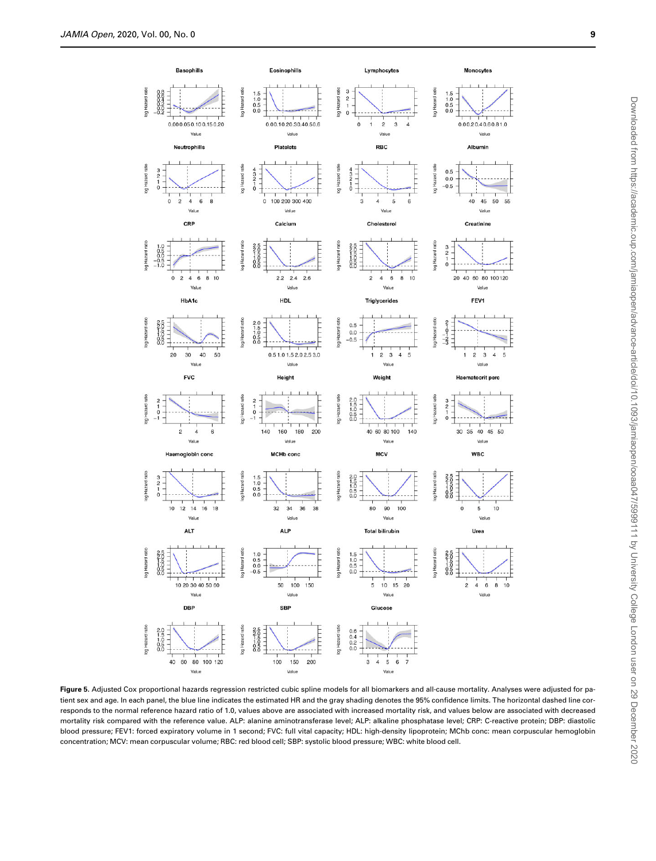<span id="page-8-0"></span>

Figure 5. Adjusted Cox proportional hazards regression restricted cubic spline models for all biomarkers and all-cause mortality. Analyses were adjusted for patient sex and age. In each panel, the blue line indicates the estimated HR and the gray shading denotes the 95% confidence limits. The horizontal dashed line corresponds to the normal reference hazard ratio of 1.0, values above are associated with increased mortality risk, and values below are associated with decreased mortality risk compared with the reference value. ALP: alanine aminotransferase level; ALP: alkaline phosphatase level; CRP: C-reactive protein; DBP: diastolic blood pressure; FEV1: forced expiratory volume in 1 second; FVC: full vital capacity; HDL: high-density lipoprotein; MChb conc: mean corpuscular hemoglobin concentration; MCV: mean corpuscular volume; RBC: red blood cell; SBP: systolic blood pressure; WBC: white blood cell.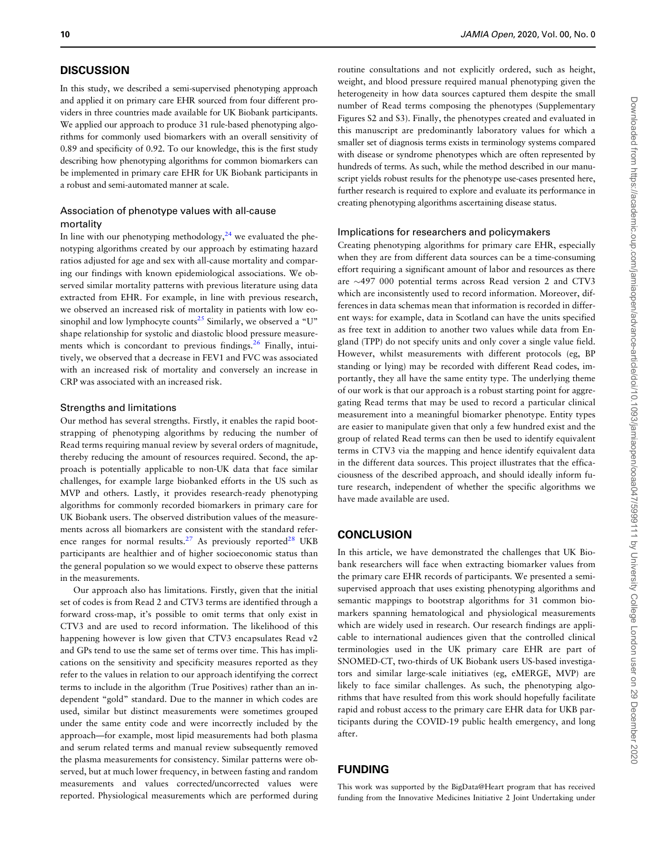#### **DISCUSSION**

In this study, we described a semi-supervised phenotyping approach and applied it on primary care EHR sourced from four different providers in three countries made available for UK Biobank participants. We applied our approach to produce 31 rule-based phenotyping algorithms for commonly used biomarkers with an overall sensitivity of 0.89 and specificity of 0.92. To our knowledge, this is the first study describing how phenotyping algorithms for common biomarkers can be implemented in primary care EHR for UK Biobank participants in a robust and semi-automated manner at scale.

## Association of phenotype values with all-cause mortality

In line with our phenotyping methodology, $2<sup>4</sup>$  we evaluated the phenotyping algorithms created by our approach by estimating hazard ratios adjusted for age and sex with all-cause mortality and comparing our findings with known epidemiological associations. We observed similar mortality patterns with previous literature using data extracted from EHR. For example, in line with previous research, we observed an increased risk of mortality in patients with low eosinophil and low lymphocyte counts<sup>25</sup> Similarly, we observed a "U" shape relationship for systolic and diastolic blood pressure measurements which is concordant to previous findings. $26$  Finally, intuitively, we observed that a decrease in FEV1 and FVC was associated with an increased risk of mortality and conversely an increase in CRP was associated with an increased risk.

#### Strengths and limitations

Our method has several strengths. Firstly, it enables the rapid bootstrapping of phenotyping algorithms by reducing the number of Read terms requiring manual review by several orders of magnitude, thereby reducing the amount of resources required. Second, the approach is potentially applicable to non-UK data that face similar challenges, for example large biobanked efforts in the US such as MVP and others. Lastly, it provides research-ready phenotyping algorithms for commonly recorded biomarkers in primary care for UK Biobank users. The observed distribution values of the measurements across all biomarkers are consistent with the standard reference ranges for normal results.<sup>27</sup> As previously reported<sup>28</sup> UKB participants are healthier and of higher socioeconomic status than the general population so we would expect to observe these patterns in the measurements.

Our approach also has limitations. Firstly, given that the initial set of codes is from Read 2 and CTV3 terms are identified through a forward cross-map, it's possible to omit terms that only exist in CTV3 and are used to record information. The likelihood of this happening however is low given that CTV3 encapsulates Read v2 and GPs tend to use the same set of terms over time. This has implications on the sensitivity and specificity measures reported as they refer to the values in relation to our approach identifying the correct terms to include in the algorithm (True Positives) rather than an independent "gold" standard. Due to the manner in which codes are used, similar but distinct measurements were sometimes grouped under the same entity code and were incorrectly included by the approach—for example, most lipid measurements had both plasma and serum related terms and manual review subsequently removed the plasma measurements for consistency. Similar patterns were observed, but at much lower frequency, in between fasting and random measurements and values corrected/uncorrected values were reported. Physiological measurements which are performed during routine consultations and not explicitly ordered, such as height, weight, and blood pressure required manual phenotyping given the heterogeneity in how data sources captured them despite the small number of Read terms composing the phenotypes (Supplementary Figures S2 and S3). Finally, the phenotypes created and evaluated in this manuscript are predominantly laboratory values for which a smaller set of diagnosis terms exists in terminology systems compared with disease or syndrome phenotypes which are often represented by hundreds of terms. As such, while the method described in our manuscript yields robust results for the phenotype use-cases presented here, further research is required to explore and evaluate its performance in creating phenotyping algorithms ascertaining disease status.

#### Implications for researchers and policymakers

Creating phenotyping algorithms for primary care EHR, especially when they are from different data sources can be a time-consuming effort requiring a significant amount of labor and resources as there are  $\sim$ 497 000 potential terms across Read version 2 and CTV3 which are inconsistently used to record information. Moreover, differences in data schemas mean that information is recorded in different ways: for example, data in Scotland can have the units specified as free text in addition to another two values while data from England (TPP) do not specify units and only cover a single value field. However, whilst measurements with different protocols (eg, BP standing or lying) may be recorded with different Read codes, importantly, they all have the same entity type. The underlying theme of our work is that our approach is a robust starting point for aggregating Read terms that may be used to record a particular clinical measurement into a meaningful biomarker phenotype. Entity types are easier to manipulate given that only a few hundred exist and the group of related Read terms can then be used to identify equivalent terms in CTV3 via the mapping and hence identify equivalent data in the different data sources. This project illustrates that the efficaciousness of the described approach, and should ideally inform future research, independent of whether the specific algorithms we have made available are used.

## **CONCLUSION**

In this article, we have demonstrated the challenges that UK Biobank researchers will face when extracting biomarker values from the primary care EHR records of participants. We presented a semisupervised approach that uses existing phenotyping algorithms and semantic mappings to bootstrap algorithms for 31 common biomarkers spanning hematological and physiological measurements which are widely used in research. Our research findings are applicable to international audiences given that the controlled clinical terminologies used in the UK primary care EHR are part of SNOMED-CT, two-thirds of UK Biobank users US-based investigators and similar large-scale initiatives (eg, eMERGE, MVP) are likely to face similar challenges. As such, the phenotyping algorithms that have resulted from this work should hopefully facilitate rapid and robust access to the primary care EHR data for UKB participants during the COVID-19 public health emergency, and long after.

## FUNDING

This work was supported by the BigData@Heart program that has received funding from the Innovative Medicines Initiative 2 Joint Undertaking under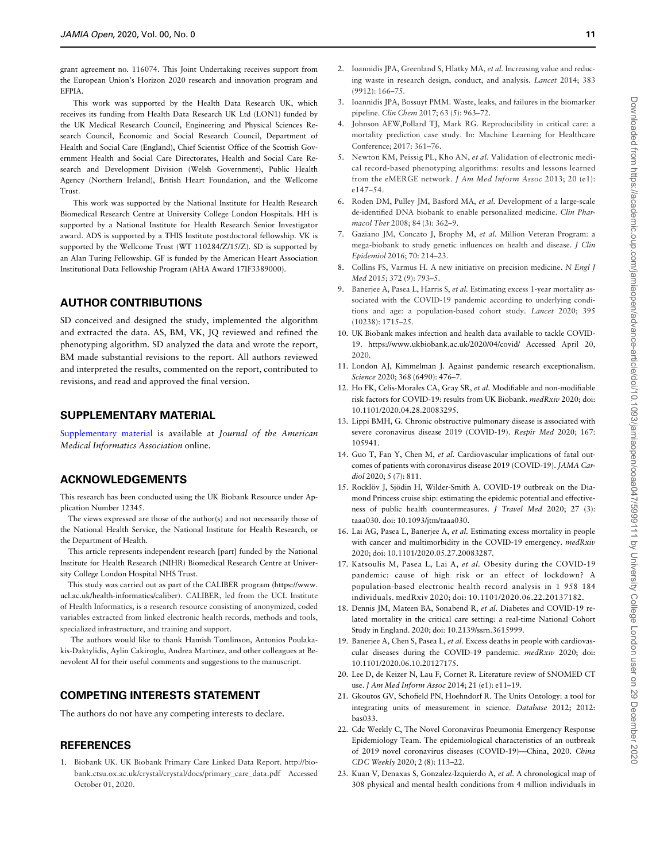<span id="page-10-0"></span>grant agreement no. 116074. This Joint Undertaking receives support from the European Union's Horizon 2020 research and innovation program and EFPIA.

This work was supported by the Health Data Research UK, which receives its funding from Health Data Research UK Ltd (LON1) funded by the UK Medical Research Council, Engineering and Physical Sciences Research Council, Economic and Social Research Council, Department of Health and Social Care (England), Chief Scientist Office of the Scottish Government Health and Social Care Directorates, Health and Social Care Research and Development Division (Welsh Government), Public Health Agency (Northern Ireland), British Heart Foundation, and the Wellcome Trust.

This work was supported by the National Institute for Health Research Biomedical Research Centre at University College London Hospitals. HH is supported by a National Institute for Health Research Senior Investigator award. ADS is supported by a THIS Institute postdoctoral fellowship. VK is supported by the Wellcome Trust (WT 110284/Z/15/Z). SD is supported by an Alan Turing Fellowship. GF is funded by the American Heart Association Institutional Data Fellowship Program (AHA Award 17IF3389000).

## AUTHOR CONTRIBUTIONS

SD conceived and designed the study, implemented the algorithm and extracted the data. AS, BM, VK, JQ reviewed and refined the phenotyping algorithm. SD analyzed the data and wrote the report, BM made substantial revisions to the report. All authors reviewed and interpreted the results, commented on the report, contributed to revisions, and read and approved the final version.

#### SUPPLEMENTARY MATERIAL

Supplementary material is available at Journal of the American Medical Informatics Association online.

## ACKNOWLEDGEMENTS

This research has been conducted using the UK Biobank Resource under Application Number 12345.

The views expressed are those of the author(s) and not necessarily those of the National Health Service, the National Institute for Health Research, or the Department of Health.

This article represents independent research [part] funded by the National Institute for Health Research (NIHR) Biomedical Research Centre at University College London Hospital NHS Trust.

This study was carried out as part of the CALIBER program [\(https://www.](https://www.ucl.ac.uk/health-informatics/caliber) [ucl.ac.uk/health-informatics/caliber\)](https://www.ucl.ac.uk/health-informatics/caliber). CALIBER, led from the UCL Institute of Health Informatics, is a research resource consisting of anonymized, coded variables extracted from linked electronic health records, methods and tools, specialized infrastructure, and training and support.

The authors would like to thank Hamish Tomlinson, Antonios Poulakakis-Daktylidis, Aylin Cakiroglu, Andrea Martinez, and other colleagues at Benevolent AI for their useful comments and suggestions to the manuscript.

## COMPETING INTERESTS STATEMENT

The authors do not have any competing interests to declare.

#### **REFERENCES**

1. Biobank UK. UK Biobank Primary Care Linked Data Report. [http://bio](http://biobank.ctsu.ox.ac.uk/crystal/crystal/docs/primary_care_data.pdf)[bank.ctsu.ox.ac.uk/crystal/crystal/docs/primary\\_care\\_data.pdf](http://biobank.ctsu.ox.ac.uk/crystal/crystal/docs/primary_care_data.pdf) Accessed October 01, 2020.

- ing waste in research design, conduct, and analysis. Lancet 2014; 383 (9912): 166–75.
- 3. Ioannidis JPA, Bossuyt PMM. Waste, leaks, and failures in the biomarker pipeline. Clin Chem 2017; 63 (5): 963–72.
- 4. Johnson AEW,Pollard TJ, Mark RG. Reproducibility in critical care: a mortality prediction case study. In: Machine Learning for Healthcare Conference; 2017: 361–76.
- 5. Newton KM, Peissig PL, Kho AN, et al. Validation of electronic medical record-based phenotyping algorithms: results and lessons learned from the eMERGE network. J Am Med Inform Assoc 2013; 20 (e1): e147–54.
- 6. Roden DM, Pulley JM, Basford MA, et al. Development of a large-scale de-identified DNA biobank to enable personalized medicine. Clin Pharmacol Ther 2008; 84 (3): 362–9.
- 7. Gaziano JM, Concato J, Brophy M, et al. Million Veteran Program: a mega-biobank to study genetic influences on health and disease. J Clin Epidemiol 2016; 70: 214–23.
- 8. Collins FS, Varmus H. A new initiative on precision medicine. N Engl J Med 2015; 372 (9): 793–5.
- 9. Banerjee A, Pasea L, Harris S, et al. Estimating excess 1-year mortality associated with the COVID-19 pandemic according to underlying conditions and age: a population-based cohort study. Lancet 2020; 395 (10238): 1715–25.
- 10. UK Biobank makes infection and health data available to tackle COVID-19. [https://www.ukbiobank.ac.uk/2020/04/covid/ Accessed](https://www.ukbiobank.ac.uk/2020/04/covid/ Accessed ) April 20, 2020.
- 11. London AJ, Kimmelman J. Against pandemic research exceptionalism. Science 2020; 368 (6490): 476–7.
- 12. Ho FK, Celis-Morales CA, Gray SR, et al. Modifiable and non-modifiable risk factors for COVID-19: results from UK Biobank. medRxiv 2020; doi: 10.1101/2020.04.28.20083295.
- 13. Lippi BMH, G. Chronic obstructive pulmonary disease is associated with severe coronavirus disease 2019 (COVID-19). Respir Med 2020; 167: 105941.
- 14. Guo T, Fan Y, Chen M, et al. Cardiovascular implications of fatal outcomes of patients with coronavirus disease 2019 (COVID-19). JAMA Cardiol 2020; 5 (7): 811.
- 15. Rocklöv J, Sjödin H, Wilder-Smith A. COVID-19 outbreak on the Diamond Princess cruise ship: estimating the epidemic potential and effectiveness of public health countermeasures. J Travel Med 2020; 27 (3): taaa030. doi: 10.1093/jtm/taaa030.
- 16. Lai AG, Pasea L, Banerjee A, et al. Estimating excess mortality in people with cancer and multimorbidity in the COVID-19 emergency. medRxiv 2020; doi: 10.1101/2020.05.27.20083287.
- 17. Katsoulis M, Pasea L, Lai A, et al. Obesity during the COVID-19 pandemic: cause of high risk or an effect of lockdown? A population-based electronic health record analysis in 1 958 184 individuals. medRxiv 2020; doi: 10.1101/2020.06.22.20137182.
- 18. Dennis JM, Mateen BA, Sonabend R, et al. Diabetes and COVID-19 related mortality in the critical care setting: a real-time National Cohort Study in England. 2020; doi: 10.2139/ssrn.3615999.
- 19. Banerjee A, Chen S, Pasea L, et al. Excess deaths in people with cardiovascular diseases during the COVID-19 pandemic. medRxiv 2020; doi: 10.1101/2020.06.10.20127175.
- 20. Lee D, de Keizer N, Lau F, Cornet R. Literature review of SNOMED CT use. J Am Med Inform Assoc 2014; 21 (e1): e11–19.
- 21. Gkoutos GV, Schofield PN, Hoehndorf R. The Units Ontology: a tool for integrating units of measurement in science. Database 2012; 2012: bas033.
- 22. Cdc Weekly C, The Novel Coronavirus Pneumonia Emergency Response Epidemiology Team. The epidemiological characteristics of an outbreak of 2019 novel coronavirus diseases (COVID-19)—China, 2020. China CDC Weekly 2020; 2 (8): 113–22.
- 23. Kuan V, Denaxas S, Gonzalez-Izquierdo A, et al. A chronological map of 308 physical and mental health conditions from 4 million individuals in